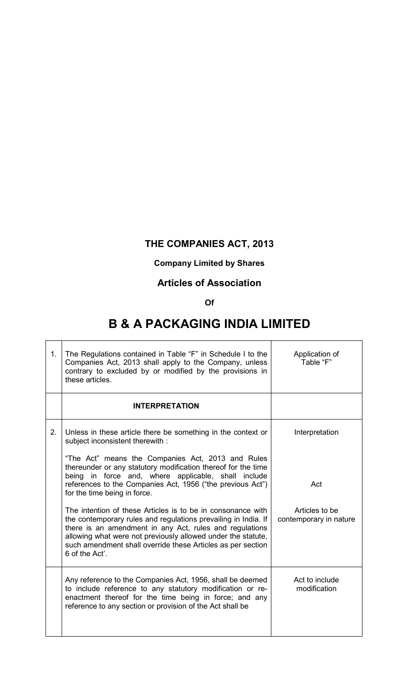## **THE COMPANIES ACT, 2013**

### **Company Limited by Shares**

### **Articles of Association**

#### **Of**

# **B & A PACKAGING INDIA LIMITED**

 $\overline{\mathbf{I}}$ 

| 1. | The Regulations contained in Table "F" in Schedule I to the<br>Companies Act, 2013 shall apply to the Company, unless<br>contrary to excluded by or modified by the provisions in<br>these articles.                                                                                                                                      | Application of<br>Table "F"              |
|----|-------------------------------------------------------------------------------------------------------------------------------------------------------------------------------------------------------------------------------------------------------------------------------------------------------------------------------------------|------------------------------------------|
|    | <b>INTERPRETATION</b>                                                                                                                                                                                                                                                                                                                     |                                          |
| 2. | Unless in these article there be something in the context or<br>subject inconsistent therewith :                                                                                                                                                                                                                                          | Interpretation                           |
|    | "The Act" means the Companies Act, 2013 and Rules<br>thereunder or any statutory modification thereof for the time<br>in force and, where applicable, shall include<br>being<br>references to the Companies Act, 1956 ("the previous Act")<br>for the time being in force.                                                                | Act                                      |
|    | The intention of these Articles is to be in consonance with<br>the contemporary rules and regulations prevailing in India. If<br>there is an amendment in any Act, rules and regulations<br>allowing what were not previously allowed under the statute,<br>such amendment shall override these Articles as per section<br>6 of the Act'. | Articles to be<br>contemporary in nature |
|    | Any reference to the Companies Act, 1956, shall be deemed<br>to include reference to any statutory modification or re-<br>enactment thereof for the time being in force; and any<br>reference to any section or provision of the Act shall be                                                                                             | Act to include<br>modification           |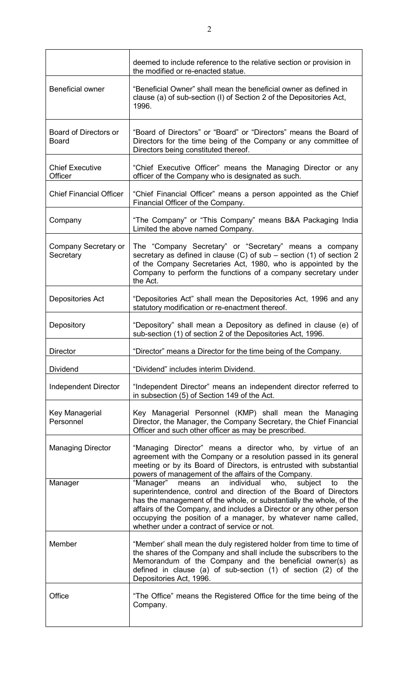|                                       | deemed to include reference to the relative section or provision in<br>the modified or re-enacted statue.                                                                                                                                                                                                                                                                                                |
|---------------------------------------|----------------------------------------------------------------------------------------------------------------------------------------------------------------------------------------------------------------------------------------------------------------------------------------------------------------------------------------------------------------------------------------------------------|
| <b>Beneficial owner</b>               | "Beneficial Owner" shall mean the beneficial owner as defined in<br>clause (a) of sub-section (I) of Section 2 of the Depositories Act,<br>1996.                                                                                                                                                                                                                                                         |
| Board of Directors or<br><b>Board</b> | "Board of Directors" or "Board" or "Directors" means the Board of<br>Directors for the time being of the Company or any committee of<br>Directors being constituted thereof.                                                                                                                                                                                                                             |
| <b>Chief Executive</b><br>Officer     | "Chief Executive Officer" means the Managing Director or any<br>officer of the Company who is designated as such.                                                                                                                                                                                                                                                                                        |
| <b>Chief Financial Officer</b>        | "Chief Financial Officer" means a person appointed as the Chief<br>Financial Officer of the Company.                                                                                                                                                                                                                                                                                                     |
| Company                               | "The Company" or "This Company" means B&A Packaging India<br>Limited the above named Company.                                                                                                                                                                                                                                                                                                            |
| Company Secretary or<br>Secretary     | The "Company Secretary" or "Secretary" means a company<br>secretary as defined in clause (C) of $sub$ – section (1) of section 2<br>of the Company Secretaries Act, 1980, who is appointed by the<br>Company to perform the functions of a company secretary under<br>the Act.                                                                                                                           |
| Depositories Act                      | "Depositories Act" shall mean the Depositories Act, 1996 and any<br>statutory modification or re-enactment thereof.                                                                                                                                                                                                                                                                                      |
| Depository                            | "Depository" shall mean a Depository as defined in clause (e) of<br>sub-section (1) of section 2 of the Depositories Act, 1996.                                                                                                                                                                                                                                                                          |
| <b>Director</b>                       | "Director" means a Director for the time being of the Company.                                                                                                                                                                                                                                                                                                                                           |
| <b>Dividend</b>                       | "Dividend" includes interim Dividend.                                                                                                                                                                                                                                                                                                                                                                    |
| Independent Director                  | "Independent Director" means an independent director referred to<br>in subsection (5) of Section 149 of the Act.                                                                                                                                                                                                                                                                                         |
| Key Managerial<br>Personnel           | Key Managerial Personnel (KMP) shall mean the Managing<br>Director, the Manager, the Company Secretary, the Chief Financial<br>Officer and such other officer as may be prescribed.                                                                                                                                                                                                                      |
| <b>Managing Director</b>              | "Managing Director" means a director who, by virtue of an<br>agreement with the Company or a resolution passed in its general<br>meeting or by its Board of Directors, is entrusted with substantial<br>powers of management of the affairs of the Company.                                                                                                                                              |
| Manager                               | subject<br>"Manager"<br>means<br>the<br>individual<br>who,<br>to<br>an<br>superintendence, control and direction of the Board of Directors<br>has the management of the whole, or substantially the whole, of the<br>affairs of the Company, and includes a Director or any other person<br>occupying the position of a manager, by whatever name called,<br>whether under a contract of service or not. |
| Member                                | "Member' shall mean the duly registered holder from time to time of<br>the shares of the Company and shall include the subscribers to the<br>Memorandum of the Company and the beneficial owner(s) as                                                                                                                                                                                                    |
|                                       | defined in clause (a) of sub-section $(1)$ of section $(2)$ of the<br>Depositories Act, 1996.                                                                                                                                                                                                                                                                                                            |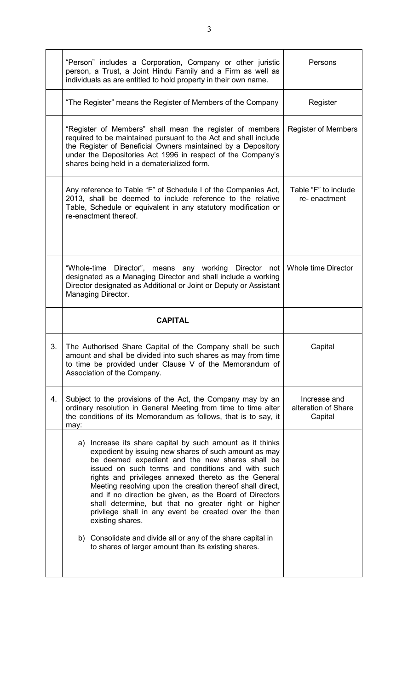|    | "Person" includes a Corporation, Company or other juristic<br>person, a Trust, a Joint Hindu Family and a Firm as well as<br>individuals as are entitled to hold property in their own name.                                                                                                                                                                                                                                                                                                                                                                                                                       | Persons                                        |
|----|--------------------------------------------------------------------------------------------------------------------------------------------------------------------------------------------------------------------------------------------------------------------------------------------------------------------------------------------------------------------------------------------------------------------------------------------------------------------------------------------------------------------------------------------------------------------------------------------------------------------|------------------------------------------------|
|    | "The Register" means the Register of Members of the Company                                                                                                                                                                                                                                                                                                                                                                                                                                                                                                                                                        | Register                                       |
|    | "Register of Members" shall mean the register of members<br>required to be maintained pursuant to the Act and shall include<br>the Register of Beneficial Owners maintained by a Depository<br>under the Depositories Act 1996 in respect of the Company's<br>shares being held in a dematerialized form.                                                                                                                                                                                                                                                                                                          | <b>Register of Members</b>                     |
|    | Any reference to Table "F" of Schedule I of the Companies Act,<br>2013, shall be deemed to include reference to the relative<br>Table, Schedule or equivalent in any statutory modification or<br>re-enactment thereof.                                                                                                                                                                                                                                                                                                                                                                                            | Table "F" to include<br>re-enactment           |
|    | "Whole-time Director", means any working Director not<br>designated as a Managing Director and shall include a working<br>Director designated as Additional or Joint or Deputy or Assistant<br>Managing Director.                                                                                                                                                                                                                                                                                                                                                                                                  | Whole time Director                            |
|    | <b>CAPITAL</b>                                                                                                                                                                                                                                                                                                                                                                                                                                                                                                                                                                                                     |                                                |
| 3. | The Authorised Share Capital of the Company shall be such<br>amount and shall be divided into such shares as may from time<br>to time be provided under Clause V of the Memorandum of<br>Association of the Company.                                                                                                                                                                                                                                                                                                                                                                                               | Capital                                        |
| 4. | Subject to the provisions of the Act, the Company may by an<br>ordinary resolution in General Meeting from time to time alter<br>the conditions of its Memorandum as follows, that is to say, it<br>may:                                                                                                                                                                                                                                                                                                                                                                                                           | Increase and<br>alteration of Share<br>Capital |
|    | Increase its share capital by such amount as it thinks<br>a)<br>expedient by issuing new shares of such amount as may<br>be deemed expedient and the new shares shall be<br>issued on such terms and conditions and with such<br>rights and privileges annexed thereto as the General<br>Meeting resolving upon the creation thereof shall direct,<br>and if no direction be given, as the Board of Directors<br>shall determine, but that no greater right or higher<br>privilege shall in any event be created over the then<br>existing shares.<br>b) Consolidate and divide all or any of the share capital in |                                                |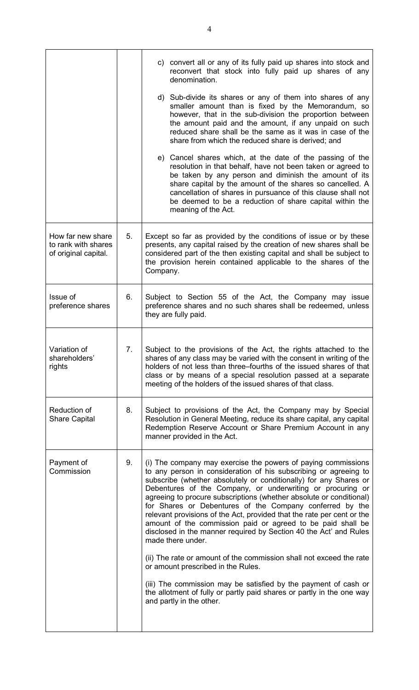|                                                                  |    | c) convert all or any of its fully paid up shares into stock and<br>reconvert that stock into fully paid up shares of any<br>denomination.                                                                                                                                                                                                                                                                                                                                                                                                                                                                                                 |
|------------------------------------------------------------------|----|--------------------------------------------------------------------------------------------------------------------------------------------------------------------------------------------------------------------------------------------------------------------------------------------------------------------------------------------------------------------------------------------------------------------------------------------------------------------------------------------------------------------------------------------------------------------------------------------------------------------------------------------|
|                                                                  |    | d) Sub-divide its shares or any of them into shares of any<br>smaller amount than is fixed by the Memorandum, so<br>however, that in the sub-division the proportion between<br>the amount paid and the amount, if any unpaid on such<br>reduced share shall be the same as it was in case of the<br>share from which the reduced share is derived; and                                                                                                                                                                                                                                                                                    |
|                                                                  |    | e) Cancel shares which, at the date of the passing of the<br>resolution in that behalf, have not been taken or agreed to<br>be taken by any person and diminish the amount of its<br>share capital by the amount of the shares so cancelled. A<br>cancellation of shares in pursuance of this clause shall not<br>be deemed to be a reduction of share capital within the<br>meaning of the Act.                                                                                                                                                                                                                                           |
| How far new share<br>to rank with shares<br>of original capital. | 5. | Except so far as provided by the conditions of issue or by these<br>presents, any capital raised by the creation of new shares shall be<br>considered part of the then existing capital and shall be subject to<br>the provision herein contained applicable to the shares of the<br>Company.                                                                                                                                                                                                                                                                                                                                              |
| Issue of<br>preference shares                                    | 6. | Subject to Section 55 of the Act, the Company may issue<br>preference shares and no such shares shall be redeemed, unless<br>they are fully paid.                                                                                                                                                                                                                                                                                                                                                                                                                                                                                          |
| Variation of<br>shareholders<br>rights                           | 7. | Subject to the provisions of the Act, the rights attached to the<br>shares of any class may be varied with the consent in writing of the<br>holders of not less than three–fourths of the issued shares of that<br>class or by means of a special resolution passed at a separate<br>meeting of the holders of the issued shares of that class.                                                                                                                                                                                                                                                                                            |
| Reduction of<br><b>Share Capital</b>                             | 8. | Subject to provisions of the Act, the Company may by Special<br>Resolution in General Meeting, reduce its share capital, any capital<br>Redemption Reserve Account or Share Premium Account in any<br>manner provided in the Act.                                                                                                                                                                                                                                                                                                                                                                                                          |
| Payment of<br>Commission                                         | 9. | (i) The company may exercise the powers of paying commissions<br>to any person in consideration of his subscribing or agreeing to<br>subscribe (whether absolutely or conditionally) for any Shares or<br>Debentures of the Company, or underwriting or procuring or<br>agreeing to procure subscriptions (whether absolute or conditional)<br>for Shares or Debentures of the Company conferred by the<br>relevant provisions of the Act, provided that the rate per cent or the<br>amount of the commission paid or agreed to be paid shall be<br>disclosed in the manner required by Section 40 the Act' and Rules<br>made there under. |
|                                                                  |    | (ii) The rate or amount of the commission shall not exceed the rate<br>or amount prescribed in the Rules.<br>(iii) The commission may be satisfied by the payment of cash or                                                                                                                                                                                                                                                                                                                                                                                                                                                               |
|                                                                  |    | the allotment of fully or partly paid shares or partly in the one way<br>and partly in the other.                                                                                                                                                                                                                                                                                                                                                                                                                                                                                                                                          |
|                                                                  |    |                                                                                                                                                                                                                                                                                                                                                                                                                                                                                                                                                                                                                                            |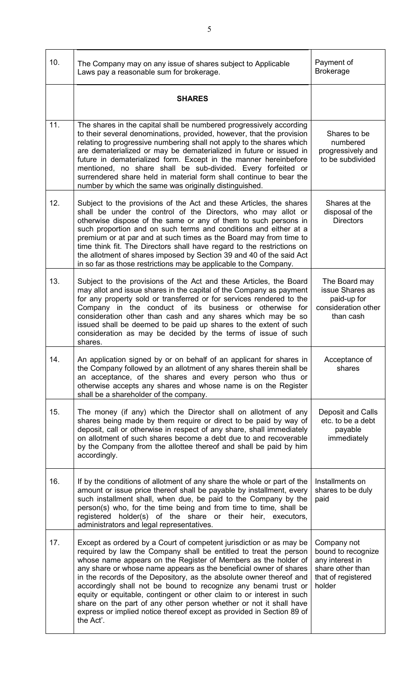| 10. | The Company may on any issue of shares subject to Applicable<br>Laws pay a reasonable sum for brokerage.                                                                                                                                                                                                                                                                                                                                                                                                                                                                                                                                                       | Payment of<br><b>Brokerage</b>                                                                           |
|-----|----------------------------------------------------------------------------------------------------------------------------------------------------------------------------------------------------------------------------------------------------------------------------------------------------------------------------------------------------------------------------------------------------------------------------------------------------------------------------------------------------------------------------------------------------------------------------------------------------------------------------------------------------------------|----------------------------------------------------------------------------------------------------------|
|     | <b>SHARES</b>                                                                                                                                                                                                                                                                                                                                                                                                                                                                                                                                                                                                                                                  |                                                                                                          |
| 11. | The shares in the capital shall be numbered progressively according<br>to their several denominations, provided, however, that the provision<br>relating to progressive numbering shall not apply to the shares which<br>are dematerialized or may be dematerialized in future or issued in<br>future in dematerialized form. Except in the manner hereinbefore<br>mentioned, no share shall be sub-divided. Every forfeited or<br>surrendered share held in material form shall continue to bear the<br>number by which the same was originally distinguished.                                                                                                | Shares to be<br>numbered<br>progressively and<br>to be subdivided                                        |
| 12. | Subject to the provisions of the Act and these Articles, the shares<br>shall be under the control of the Directors, who may allot or<br>otherwise dispose of the same or any of them to such persons in<br>such proportion and on such terms and conditions and either at a<br>premium or at par and at such times as the Board may from time to<br>time think fit. The Directors shall have regard to the restrictions on<br>the allotment of shares imposed by Section 39 and 40 of the said Act<br>in so far as those restrictions may be applicable to the Company.                                                                                        | Shares at the<br>disposal of the<br><b>Directors</b>                                                     |
| 13. | Subject to the provisions of the Act and these Articles, the Board<br>may allot and issue shares in the capital of the Company as payment<br>for any property sold or transferred or for services rendered to the<br>Company in the conduct of its business or otherwise for<br>consideration other than cash and any shares which may be so<br>issued shall be deemed to be paid up shares to the extent of such<br>consideration as may be decided by the terms of issue of such<br>shares.                                                                                                                                                                  | The Board may<br>issue Shares as<br>paid-up for<br>consideration other<br>than cash                      |
| 14. | An application signed by or on behalf of an applicant for shares in<br>the Company followed by an allotment of any shares therein shall be<br>an acceptance, of the shares and every person who thus or<br>otherwise accepts any shares and whose name is on the Register<br>shall be a shareholder of the company.                                                                                                                                                                                                                                                                                                                                            | Acceptance of<br>shares                                                                                  |
| 15. | The money (if any) which the Director shall on allotment of any<br>shares being made by them require or direct to be paid by way of<br>deposit, call or otherwise in respect of any share, shall immediately<br>on allotment of such shares become a debt due to and recoverable<br>by the Company from the allottee thereof and shall be paid by him<br>accordingly.                                                                                                                                                                                                                                                                                          | Deposit and Calls<br>etc. to be a debt<br>payable<br>immediately                                         |
| 16. | If by the conditions of allotment of any share the whole or part of the<br>amount or issue price thereof shall be payable by installment, every<br>such installment shall, when due, be paid to the Company by the<br>person(s) who, for the time being and from time to time, shall be<br>registered holder(s) of the share or their heir, executors,<br>administrators and legal representatives.                                                                                                                                                                                                                                                            | Installments on<br>shares to be duly<br>paid                                                             |
| 17. | Except as ordered by a Court of competent jurisdiction or as may be<br>required by law the Company shall be entitled to treat the person<br>whose name appears on the Register of Members as the holder of<br>any share or whose name appears as the beneficial owner of shares<br>in the records of the Depository, as the absolute owner thereof and<br>accordingly shall not be bound to recognize any benami trust or<br>equity or equitable, contingent or other claim to or interest in such<br>share on the part of any other person whether or not it shall have<br>express or implied notice thereof except as provided in Section 89 of<br>the Act'. | Company not<br>bound to recognize<br>any interest in<br>share other than<br>that of registered<br>holder |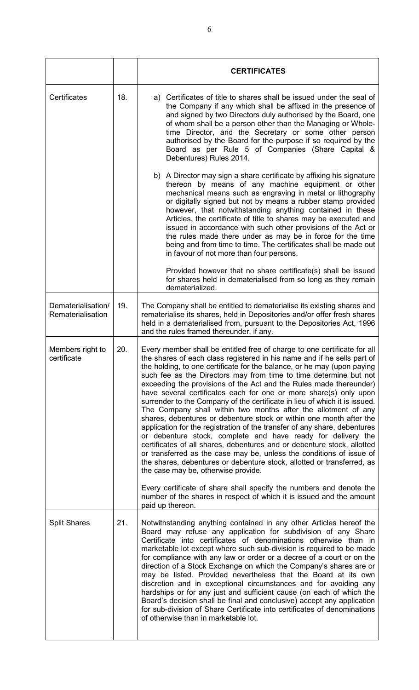|                                         |     | <b>CERTIFICATES</b>                                                                                                                                                                                                                                                                                                                                                                                                                                                                                                                                                                                                                                                                                                                                                                                                                                                                                                                                                                                                                                                                    |  |
|-----------------------------------------|-----|----------------------------------------------------------------------------------------------------------------------------------------------------------------------------------------------------------------------------------------------------------------------------------------------------------------------------------------------------------------------------------------------------------------------------------------------------------------------------------------------------------------------------------------------------------------------------------------------------------------------------------------------------------------------------------------------------------------------------------------------------------------------------------------------------------------------------------------------------------------------------------------------------------------------------------------------------------------------------------------------------------------------------------------------------------------------------------------|--|
| Certificates                            | 18. | a) Certificates of title to shares shall be issued under the seal of<br>the Company if any which shall be affixed in the presence of<br>and signed by two Directors duly authorised by the Board, one<br>of whom shall be a person other than the Managing or Whole-<br>time Director, and the Secretary or some other person<br>authorised by the Board for the purpose if so required by the<br>Board as per Rule 5 of Companies (Share Capital &<br>Debentures) Rules 2014.                                                                                                                                                                                                                                                                                                                                                                                                                                                                                                                                                                                                         |  |
|                                         |     | b) A Director may sign a share certificate by affixing his signature<br>thereon by means of any machine equipment or other<br>mechanical means such as engraving in metal or lithography<br>or digitally signed but not by means a rubber stamp provided<br>however, that notwithstanding anything contained in these<br>Articles, the certificate of title to shares may be executed and<br>issued in accordance with such other provisions of the Act or<br>the rules made there under as may be in force for the time<br>being and from time to time. The certificates shall be made out<br>in favour of not more than four persons.                                                                                                                                                                                                                                                                                                                                                                                                                                                |  |
|                                         |     | Provided however that no share certificate(s) shall be issued<br>for shares held in dematerialised from so long as they remain<br>dematerialized.                                                                                                                                                                                                                                                                                                                                                                                                                                                                                                                                                                                                                                                                                                                                                                                                                                                                                                                                      |  |
| Dematerialisation/<br>Rematerialisation | 19. | The Company shall be entitled to dematerialise its existing shares and<br>rematerialise its shares, held in Depositories and/or offer fresh shares<br>held in a dematerialised from, pursuant to the Depositories Act, 1996<br>and the rules framed thereunder, if any.                                                                                                                                                                                                                                                                                                                                                                                                                                                                                                                                                                                                                                                                                                                                                                                                                |  |
| Members right to<br>certificate         | 20. | Every member shall be entitled free of charge to one certificate for all<br>the shares of each class registered in his name and if he sells part of<br>the holding, to one certificate for the balance, or he may (upon paying<br>such fee as the Directors may from time to time determine but not<br>exceeding the provisions of the Act and the Rules made thereunder)<br>have several certificates each for one or more share(s) only upon<br>surrender to the Company of the certificate in lieu of which it is issued.<br>The Company shall within two months after the allotment of any<br>shares, debentures or debenture stock or within one month after the<br>application for the registration of the transfer of any share, debentures<br>or debenture stock, complete and have ready for delivery the<br>certificates of all shares, debentures and or debenture stock, allotted<br>or transferred as the case may be, unless the conditions of issue of<br>the shares, debentures or debenture stock, allotted or transferred, as<br>the case may be, otherwise provide. |  |
|                                         |     | Every certificate of share shall specify the numbers and denote the<br>number of the shares in respect of which it is issued and the amount<br>paid up thereon.                                                                                                                                                                                                                                                                                                                                                                                                                                                                                                                                                                                                                                                                                                                                                                                                                                                                                                                        |  |
| <b>Split Shares</b>                     | 21. | Notwithstanding anything contained in any other Articles hereof the<br>Board may refuse any application for subdivision of any Share<br>Certificate into certificates of denominations otherwise than in<br>marketable lot except where such sub-division is required to be made<br>for compliance with any law or order or a decree of a court or on the<br>direction of a Stock Exchange on which the Company's shares are or<br>may be listed. Provided nevertheless that the Board at its own<br>discretion and in exceptional circumstances and for avoiding any<br>hardships or for any just and sufficient cause (on each of which the<br>Board's decision shall be final and conclusive) accept any application<br>for sub-division of Share Certificate into certificates of denominations<br>of otherwise than in marketable lot.                                                                                                                                                                                                                                            |  |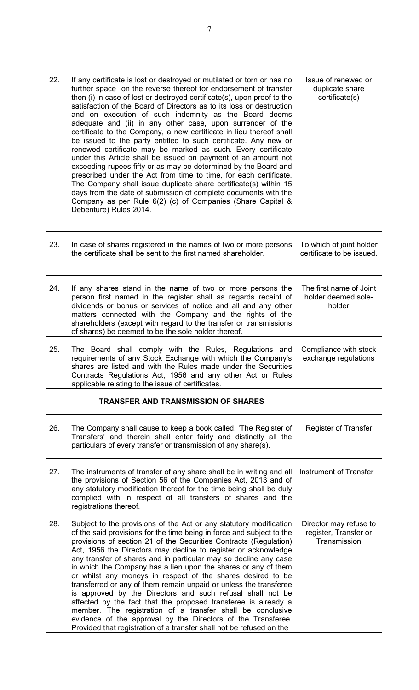| 22. | If any certificate is lost or destroyed or mutilated or torn or has no<br>further space on the reverse thereof for endorsement of transfer<br>then (i) in case of lost or destroyed certificate(s), upon proof to the<br>satisfaction of the Board of Directors as to its loss or destruction<br>and on execution of such indemnity as the Board deems<br>adequate and (ii) in any other case, upon surrender of the<br>certificate to the Company, a new certificate in lieu thereof shall<br>be issued to the party entitled to such certificate. Any new or<br>renewed certificate may be marked as such. Every certificate<br>under this Article shall be issued on payment of an amount not<br>exceeding rupees fifty or as may be determined by the Board and<br>prescribed under the Act from time to time, for each certificate.<br>The Company shall issue duplicate share certificate(s) within 15<br>days from the date of submission of complete documents with the<br>Company as per Rule 6(2) (c) of Companies (Share Capital &<br>Debenture) Rules 2014. | Issue of renewed or<br>duplicate share<br>certificate(s)        |
|-----|-------------------------------------------------------------------------------------------------------------------------------------------------------------------------------------------------------------------------------------------------------------------------------------------------------------------------------------------------------------------------------------------------------------------------------------------------------------------------------------------------------------------------------------------------------------------------------------------------------------------------------------------------------------------------------------------------------------------------------------------------------------------------------------------------------------------------------------------------------------------------------------------------------------------------------------------------------------------------------------------------------------------------------------------------------------------------|-----------------------------------------------------------------|
| 23. | In case of shares registered in the names of two or more persons<br>the certificate shall be sent to the first named shareholder.                                                                                                                                                                                                                                                                                                                                                                                                                                                                                                                                                                                                                                                                                                                                                                                                                                                                                                                                       | To which of joint holder<br>certificate to be issued.           |
| 24. | If any shares stand in the name of two or more persons the<br>person first named in the register shall as regards receipt of<br>dividends or bonus or services of notice and all and any other<br>matters connected with the Company and the rights of the<br>shareholders (except with regard to the transfer or transmissions<br>of shares) be deemed to be the sole holder thereof.                                                                                                                                                                                                                                                                                                                                                                                                                                                                                                                                                                                                                                                                                  | The first name of Joint<br>holder deemed sole-<br>holder        |
| 25. | The Board shall comply with the Rules, Regulations and<br>requirements of any Stock Exchange with which the Company's<br>shares are listed and with the Rules made under the Securities<br>Contracts Regulations Act, 1956 and any other Act or Rules<br>applicable relating to the issue of certificates.                                                                                                                                                                                                                                                                                                                                                                                                                                                                                                                                                                                                                                                                                                                                                              | Compliance with stock<br>exchange regulations                   |
|     | <b>TRANSFER AND TRANSMISSION OF SHARES</b>                                                                                                                                                                                                                                                                                                                                                                                                                                                                                                                                                                                                                                                                                                                                                                                                                                                                                                                                                                                                                              |                                                                 |
| 26. | The Company shall cause to keep a book called, 'The Register of<br>Transfers' and therein shall enter fairly and distinctly all the<br>particulars of every transfer or transmission of any share(s).                                                                                                                                                                                                                                                                                                                                                                                                                                                                                                                                                                                                                                                                                                                                                                                                                                                                   | Register of Transfer                                            |
| 27. | The instruments of transfer of any share shall be in writing and all<br>the provisions of Section 56 of the Companies Act, 2013 and of<br>any statutory modification thereof for the time being shall be duly<br>complied with in respect of all transfers of shares and the<br>registrations thereof.                                                                                                                                                                                                                                                                                                                                                                                                                                                                                                                                                                                                                                                                                                                                                                  | Instrument of Transfer                                          |
| 28. | Subject to the provisions of the Act or any statutory modification<br>of the said provisions for the time being in force and subject to the<br>provisions of section 21 of the Securities Contracts (Regulation)<br>Act, 1956 the Directors may decline to register or acknowledge<br>any transfer of shares and in particular may so decline any case<br>in which the Company has a lien upon the shares or any of them<br>or whilst any moneys in respect of the shares desired to be<br>transferred or any of them remain unpaid or unless the transferee<br>is approved by the Directors and such refusal shall not be<br>affected by the fact that the proposed transferee is already a<br>member. The registration of a transfer shall be conclusive<br>evidence of the approval by the Directors of the Transferee.<br>Provided that registration of a transfer shall not be refused on the                                                                                                                                                                      | Director may refuse to<br>register, Transfer or<br>Transmission |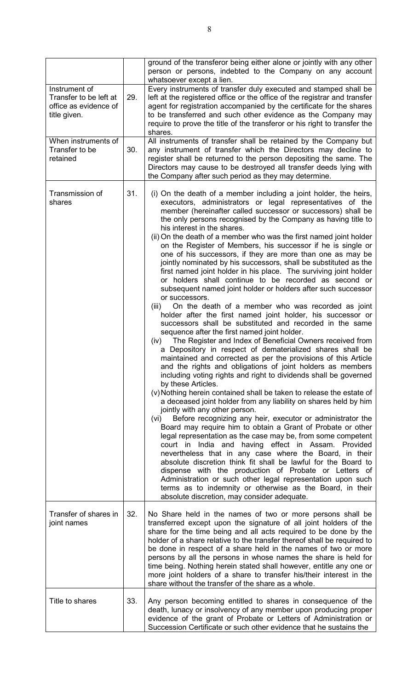|                                                                                  |     | ground of the transferor being either alone or jointly with any other<br>person or persons, indebted to the Company on any account                                                                                                                                                                                                                                                                                                                                                                                                                                                                                                                                                                                                                                                                                                                                                                                                                                                                                                                                                                                                                                                                                                                                                                                                                                                                                                                                                                                                                                                                                                                                                                                                                                                                                                                                                                                                                                                                                                                                                                                                                                                                    |
|----------------------------------------------------------------------------------|-----|-------------------------------------------------------------------------------------------------------------------------------------------------------------------------------------------------------------------------------------------------------------------------------------------------------------------------------------------------------------------------------------------------------------------------------------------------------------------------------------------------------------------------------------------------------------------------------------------------------------------------------------------------------------------------------------------------------------------------------------------------------------------------------------------------------------------------------------------------------------------------------------------------------------------------------------------------------------------------------------------------------------------------------------------------------------------------------------------------------------------------------------------------------------------------------------------------------------------------------------------------------------------------------------------------------------------------------------------------------------------------------------------------------------------------------------------------------------------------------------------------------------------------------------------------------------------------------------------------------------------------------------------------------------------------------------------------------------------------------------------------------------------------------------------------------------------------------------------------------------------------------------------------------------------------------------------------------------------------------------------------------------------------------------------------------------------------------------------------------------------------------------------------------------------------------------------------------|
| Instrument of<br>Transfer to be left at<br>office as evidence of<br>title given. | 29. | whatsoever except a lien.<br>Every instruments of transfer duly executed and stamped shall be<br>left at the registered office or the office of the registrar and transfer<br>agent for registration accompanied by the certificate for the shares<br>to be transferred and such other evidence as the Company may<br>require to prove the title of the transferor or his right to transfer the<br>shares.                                                                                                                                                                                                                                                                                                                                                                                                                                                                                                                                                                                                                                                                                                                                                                                                                                                                                                                                                                                                                                                                                                                                                                                                                                                                                                                                                                                                                                                                                                                                                                                                                                                                                                                                                                                            |
| When instruments of<br>Transfer to be<br>retained                                | 30. | All instruments of transfer shall be retained by the Company but<br>any instrument of transfer which the Directors may decline to<br>register shall be returned to the person depositing the same. The<br>Directors may cause to be destroyed all transfer deeds lying with<br>the Company after such period as they may determine.                                                                                                                                                                                                                                                                                                                                                                                                                                                                                                                                                                                                                                                                                                                                                                                                                                                                                                                                                                                                                                                                                                                                                                                                                                                                                                                                                                                                                                                                                                                                                                                                                                                                                                                                                                                                                                                                   |
| Transmission of<br>shares                                                        | 31. | (i) On the death of a member including a joint holder, the heirs,<br>executors, administrators or legal representatives of the<br>member (hereinafter called successor or successors) shall be<br>the only persons recognised by the Company as having title to<br>his interest in the shares.<br>(ii) On the death of a member who was the first named joint holder<br>on the Register of Members, his successor if he is single or<br>one of his successors, if they are more than one as may be<br>jointly nominated by his successors, shall be substituted as the<br>first named joint holder in his place. The surviving joint holder<br>or holders shall continue to be recorded as second or<br>subsequent named joint holder or holders after such successor<br>or successors.<br>On the death of a member who was recorded as joint<br>(iii)<br>holder after the first named joint holder, his successor or<br>successors shall be substituted and recorded in the same<br>sequence after the first named joint holder.<br>(iv) The Register and Index of Beneficial Owners received from<br>a Depository in respect of dematerialized shares shall be<br>maintained and corrected as per the provisions of this Article<br>and the rights and obligations of joint holders as members<br>including voting rights and right to dividends shall be governed<br>by these Articles.<br>(v) Nothing herein contained shall be taken to release the estate of<br>a deceased joint holder from any liability on shares held by him<br>jointly with any other person.<br>Before recognizing any heir, executor or administrator the<br>(vi)<br>Board may require him to obtain a Grant of Probate or other<br>legal representation as the case may be, from some competent<br>court in India and having effect in Assam. Provided<br>nevertheless that in any case where the Board, in their<br>absolute discretion think fit shall be lawful for the Board to<br>dispense with the production of Probate or Letters of<br>Administration or such other legal representation upon such<br>terms as to indemnity or otherwise as the Board, in their<br>absolute discretion, may consider adequate. |
| Transfer of shares in<br>joint names                                             | 32. | No Share held in the names of two or more persons shall be<br>transferred except upon the signature of all joint holders of the<br>share for the time being and all acts required to be done by the<br>holder of a share relative to the transfer thereof shall be required to<br>be done in respect of a share held in the names of two or more<br>persons by all the persons in whose names the share is held for<br>time being. Nothing herein stated shall however, entitle any one or<br>more joint holders of a share to transfer his/their interest in the<br>share without the transfer of the share as a whole.                                                                                                                                                                                                                                                                                                                                                                                                                                                                                                                                                                                                                                                                                                                                                                                                                                                                                                                                                                                                                                                                                                                                                                                                                                                                                                                                                                                                                                                                                                                                                                              |
| Title to shares                                                                  | 33. | Any person becoming entitled to shares in consequence of the<br>death, lunacy or insolvency of any member upon producing proper<br>evidence of the grant of Probate or Letters of Administration or<br>Succession Certificate or such other evidence that he sustains the                                                                                                                                                                                                                                                                                                                                                                                                                                                                                                                                                                                                                                                                                                                                                                                                                                                                                                                                                                                                                                                                                                                                                                                                                                                                                                                                                                                                                                                                                                                                                                                                                                                                                                                                                                                                                                                                                                                             |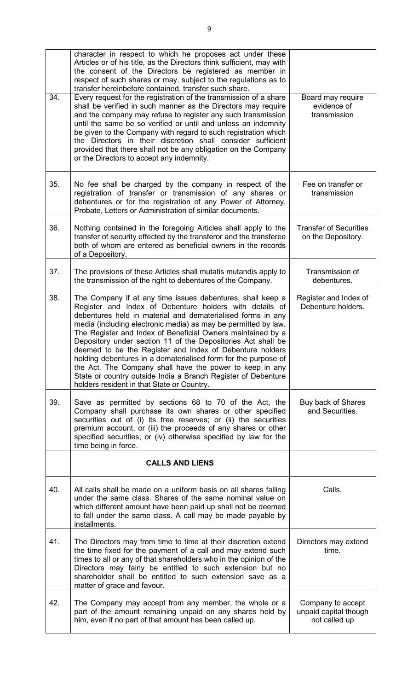| 34. | character in respect to which he proposes act under these<br>Articles or of his title, as the Directors think sufficient, may with<br>the consent of the Directors be registered as member in<br>respect of such shares or may, subject to the regulations as to<br>transfer hereinbefore contained, transfer such share.<br>Every request for the registration of the transmission of a share<br>shall be verified in such manner as the Directors may require<br>and the company may refuse to register any such transmission<br>until the same be so verified or until and unless an indemnity<br>be given to the Company with regard to such registration which<br>the Directors in their discretion shall consider sufficient<br>provided that there shall not be any obligation on the Company<br>or the Directors to accept any indemnity. | Board may require<br>evidence of<br>transmission            |
|-----|---------------------------------------------------------------------------------------------------------------------------------------------------------------------------------------------------------------------------------------------------------------------------------------------------------------------------------------------------------------------------------------------------------------------------------------------------------------------------------------------------------------------------------------------------------------------------------------------------------------------------------------------------------------------------------------------------------------------------------------------------------------------------------------------------------------------------------------------------|-------------------------------------------------------------|
| 35. | No fee shall be charged by the company in respect of the<br>registration of transfer or transmission of any shares or<br>debentures or for the registration of any Power of Attorney,<br>Probate, Letters or Administration of similar documents.                                                                                                                                                                                                                                                                                                                                                                                                                                                                                                                                                                                                 | Fee on transfer or<br>transmission                          |
| 36. | Nothing contained in the foregoing Articles shall apply to the<br>transfer of security effected by the transferor and the transferee<br>both of whom are entered as beneficial owners in the records<br>of a Depository.                                                                                                                                                                                                                                                                                                                                                                                                                                                                                                                                                                                                                          | <b>Transfer of Securities</b><br>on the Depository.         |
| 37. | The provisions of these Articles shall mutatis mutandis apply to<br>the transmission of the right to debentures of the Company.                                                                                                                                                                                                                                                                                                                                                                                                                                                                                                                                                                                                                                                                                                                   | Transmission of<br>debentures.                              |
| 38. | The Company if at any time issues debentures, shall keep a<br>Register and Index of Debenture holders with details of<br>debentures held in material and dematerialised forms in any<br>media (including electronic media) as may be permitted by law.<br>The Register and Index of Beneficial Owners maintained by a<br>Depository under section 11 of the Depositories Act shall be<br>deemed to be the Register and Index of Debenture holders<br>holding debentures in a dematerialised form for the purpose of<br>the Act. The Company shall have the power to keep in any<br>State or country outside India a Branch Register of Debenture<br>holders resident in that State or Country.                                                                                                                                                    | Register and Index of<br>Debenture holders.                 |
| 39. | Save as permitted by sections 68 to 70 of the Act, the<br>Company shall purchase its own shares or other specified<br>securities out of (i) its free reserves; or (ii) the securities<br>premium account, or (iii) the proceeds of any shares or other<br>specified securities, or (iv) otherwise specified by law for the<br>time being in force.                                                                                                                                                                                                                                                                                                                                                                                                                                                                                                | Buy back of Shares<br>and Securities.                       |
|     | <b>CALLS AND LIENS</b>                                                                                                                                                                                                                                                                                                                                                                                                                                                                                                                                                                                                                                                                                                                                                                                                                            |                                                             |
| 40. | All calls shall be made on a uniform basis on all shares falling<br>under the same class. Shares of the same nominal value on<br>which different amount have been paid up shall not be deemed<br>to fall under the same class. A call may be made payable by<br>installments.                                                                                                                                                                                                                                                                                                                                                                                                                                                                                                                                                                     | Calls.                                                      |
| 41. | The Directors may from time to time at their discretion extend<br>the time fixed for the payment of a call and may extend such<br>times to all or any of that shareholders who in the opinion of the<br>Directors may fairly be entitled to such extension but no<br>shareholder shall be entitled to such extension save as a<br>matter of grace and favour.                                                                                                                                                                                                                                                                                                                                                                                                                                                                                     | Directors may extend<br>time.                               |
| 42. | The Company may accept from any member, the whole or a<br>part of the amount remaining unpaid on any shares held by<br>him, even if no part of that amount has been called up.                                                                                                                                                                                                                                                                                                                                                                                                                                                                                                                                                                                                                                                                    | Company to accept<br>unpaid capital though<br>not called up |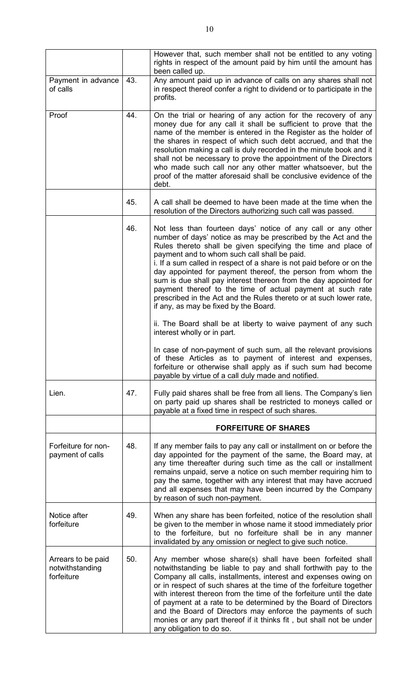|                                                     |     | However that, such member shall not be entitled to any voting<br>rights in respect of the amount paid by him until the amount has<br>been called up.                                                                                                                                                                                                                                                                                                                                                                                                                                                                                     |
|-----------------------------------------------------|-----|------------------------------------------------------------------------------------------------------------------------------------------------------------------------------------------------------------------------------------------------------------------------------------------------------------------------------------------------------------------------------------------------------------------------------------------------------------------------------------------------------------------------------------------------------------------------------------------------------------------------------------------|
| Payment in advance<br>of calls                      | 43. | Any amount paid up in advance of calls on any shares shall not<br>in respect thereof confer a right to dividend or to participate in the<br>profits.                                                                                                                                                                                                                                                                                                                                                                                                                                                                                     |
| Proof                                               | 44. | On the trial or hearing of any action for the recovery of any<br>money due for any call it shall be sufficient to prove that the<br>name of the member is entered in the Register as the holder of<br>the shares in respect of which such debt accrued, and that the<br>resolution making a call is duly recorded in the minute book and it<br>shall not be necessary to prove the appointment of the Directors<br>who made such call nor any other matter whatsoever, but the<br>proof of the matter aforesaid shall be conclusive evidence of the<br>debt.                                                                             |
|                                                     | 45. | A call shall be deemed to have been made at the time when the<br>resolution of the Directors authorizing such call was passed.                                                                                                                                                                                                                                                                                                                                                                                                                                                                                                           |
|                                                     | 46. | Not less than fourteen days' notice of any call or any other<br>number of days' notice as may be prescribed by the Act and the<br>Rules thereto shall be given specifying the time and place of<br>payment and to whom such call shall be paid.<br>i. If a sum called in respect of a share is not paid before or on the<br>day appointed for payment thereof, the person from whom the<br>sum is due shall pay interest thereon from the day appointed for<br>payment thereof to the time of actual payment at such rate<br>prescribed in the Act and the Rules thereto or at such lower rate,<br>if any, as may be fixed by the Board. |
|                                                     |     | ii. The Board shall be at liberty to waive payment of any such<br>interest wholly or in part.                                                                                                                                                                                                                                                                                                                                                                                                                                                                                                                                            |
|                                                     |     | In case of non-payment of such sum, all the relevant provisions<br>of these Articles as to payment of interest and expenses,<br>forfeiture or otherwise shall apply as if such sum had become<br>payable by virtue of a call duly made and notified.                                                                                                                                                                                                                                                                                                                                                                                     |
| Lien.                                               | 47. | Fully paid shares shall be free from all liens. The Company's lien<br>on party paid up shares shall be restricted to moneys called or<br>payable at a fixed time in respect of such shares.                                                                                                                                                                                                                                                                                                                                                                                                                                              |
|                                                     |     | <b>FORFEITURE OF SHARES</b>                                                                                                                                                                                                                                                                                                                                                                                                                                                                                                                                                                                                              |
| Forfeiture for non-<br>payment of calls             | 48. | If any member fails to pay any call or installment on or before the<br>day appointed for the payment of the same, the Board may, at<br>any time thereafter during such time as the call or installment<br>remains unpaid, serve a notice on such member requiring him to<br>pay the same, together with any interest that may have accrued<br>and all expenses that may have been incurred by the Company<br>by reason of such non-payment.                                                                                                                                                                                              |
| Notice after<br>forfeiture                          | 49. | When any share has been forfeited, notice of the resolution shall<br>be given to the member in whose name it stood immediately prior<br>to the forfeiture, but no forfeiture shall be in any manner<br>invalidated by any omission or neglect to give such notice.                                                                                                                                                                                                                                                                                                                                                                       |
| Arrears to be paid<br>notwithstanding<br>forfeiture | 50. | Any member whose share(s) shall have been forfeited shall<br>notwithstanding be liable to pay and shall forthwith pay to the<br>Company all calls, installments, interest and expenses owing on<br>or in respect of such shares at the time of the forfeiture together<br>with interest thereon from the time of the forfeiture until the date<br>of payment at a rate to be determined by the Board of Directors<br>and the Board of Directors may enforce the payments of such<br>monies or any part thereof if it thinks fit, but shall not be under<br>any obligation to do so.                                                      |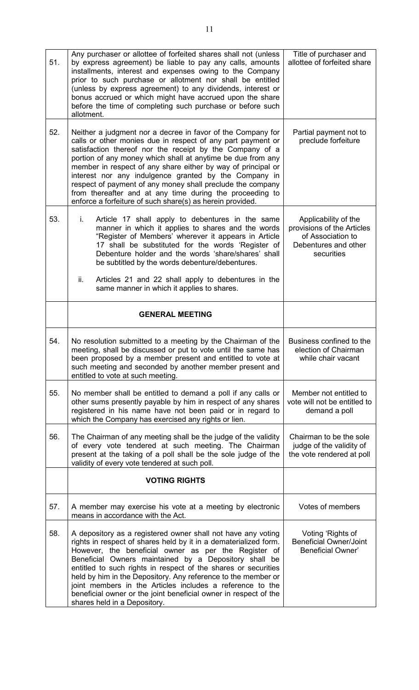| 51. | Any purchaser or allottee of forfeited shares shall not (unless<br>by express agreement) be liable to pay any calls, amounts<br>installments, interest and expenses owing to the Company<br>prior to such purchase or allotment nor shall be entitled<br>(unless by express agreement) to any dividends, interest or<br>bonus accrued or which might have accrued upon the share<br>before the time of completing such purchase or before such<br>allotment.                                                                                                          | Title of purchaser and<br>allottee of forfeited share                                                         |
|-----|-----------------------------------------------------------------------------------------------------------------------------------------------------------------------------------------------------------------------------------------------------------------------------------------------------------------------------------------------------------------------------------------------------------------------------------------------------------------------------------------------------------------------------------------------------------------------|---------------------------------------------------------------------------------------------------------------|
| 52. | Neither a judgment nor a decree in favor of the Company for<br>calls or other monies due in respect of any part payment or<br>satisfaction thereof nor the receipt by the Company of a<br>portion of any money which shall at anytime be due from any<br>member in respect of any share either by way of principal or<br>interest nor any indulgence granted by the Company in<br>respect of payment of any money shall preclude the company<br>from thereafter and at any time during the proceeding to<br>enforce a forfeiture of such share(s) as herein provided. | Partial payment not to<br>preclude forfeiture                                                                 |
| 53. | Article 17 shall apply to debentures in the same<br>i.<br>manner in which it applies to shares and the words<br>"Register of Members' wherever it appears in Article<br>17 shall be substituted for the words 'Register of<br>Debenture holder and the words 'share/shares' shall<br>be subtitled by the words debenture/debentures.                                                                                                                                                                                                                                  | Applicability of the<br>provisions of the Articles<br>of Association to<br>Debentures and other<br>securities |
|     | Articles 21 and 22 shall apply to debentures in the<br>ii.<br>same manner in which it applies to shares.                                                                                                                                                                                                                                                                                                                                                                                                                                                              |                                                                                                               |
|     | <b>GENERAL MEETING</b>                                                                                                                                                                                                                                                                                                                                                                                                                                                                                                                                                |                                                                                                               |
| 54. | No resolution submitted to a meeting by the Chairman of the<br>meeting, shall be discussed or put to vote until the same has<br>been proposed by a member present and entitled to vote at<br>such meeting and seconded by another member present and<br>entitled to vote at such meeting.                                                                                                                                                                                                                                                                             | Business confined to the<br>election of Chairman<br>while chair vacant                                        |
|     |                                                                                                                                                                                                                                                                                                                                                                                                                                                                                                                                                                       |                                                                                                               |
| 55. | No member shall be entitled to demand a poll if any calls or<br>other sums presently payable by him in respect of any shares<br>registered in his name have not been paid or in regard to<br>which the Company has exercised any rights or lien.                                                                                                                                                                                                                                                                                                                      | Member not entitled to<br>vote will not be entitled to<br>demand a poll                                       |
| 56. | The Chairman of any meeting shall be the judge of the validity<br>of every vote tendered at such meeting. The Chairman<br>present at the taking of a poll shall be the sole judge of the<br>validity of every vote tendered at such poll.                                                                                                                                                                                                                                                                                                                             | Chairman to be the sole<br>judge of the validity of<br>the vote rendered at poll                              |
|     | <b>VOTING RIGHTS</b>                                                                                                                                                                                                                                                                                                                                                                                                                                                                                                                                                  |                                                                                                               |
| 57. | A member may exercise his vote at a meeting by electronic<br>means in accordance with the Act.                                                                                                                                                                                                                                                                                                                                                                                                                                                                        | Votes of members                                                                                              |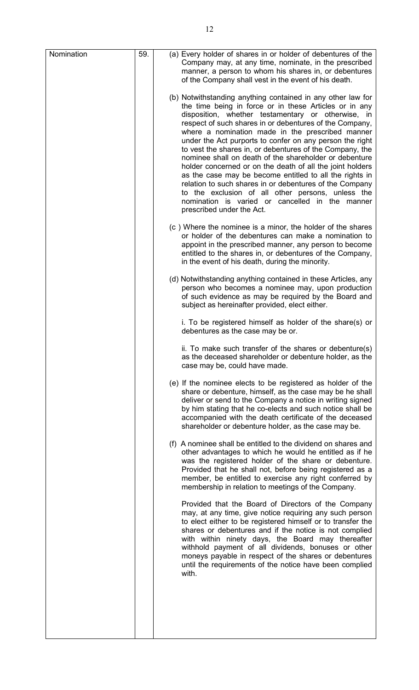| Nomination | 59. | (a) Every holder of shares in or holder of debentures of the<br>Company may, at any time, nominate, in the prescribed<br>manner, a person to whom his shares in, or debentures<br>of the Company shall vest in the event of his death.                                                                                                                                                                                                                                                                                                                                                                                                                                                                                                                                                               |
|------------|-----|------------------------------------------------------------------------------------------------------------------------------------------------------------------------------------------------------------------------------------------------------------------------------------------------------------------------------------------------------------------------------------------------------------------------------------------------------------------------------------------------------------------------------------------------------------------------------------------------------------------------------------------------------------------------------------------------------------------------------------------------------------------------------------------------------|
|            |     | (b) Notwithstanding anything contained in any other law for<br>the time being in force or in these Articles or in any<br>disposition, whether testamentary or otherwise, in<br>respect of such shares in or debentures of the Company,<br>where a nomination made in the prescribed manner<br>under the Act purports to confer on any person the right<br>to vest the shares in, or debentures of the Company, the<br>nominee shall on death of the shareholder or debenture<br>holder concerned or on the death of all the joint holders<br>as the case may be become entitled to all the rights in<br>relation to such shares in or debentures of the Company<br>to the exclusion of all other persons, unless the<br>nomination is varied or cancelled in the manner<br>prescribed under the Act. |
|            |     | (c) Where the nominee is a minor, the holder of the shares<br>or holder of the debentures can make a nomination to<br>appoint in the prescribed manner, any person to become<br>entitled to the shares in, or debentures of the Company,<br>in the event of his death, during the minority.                                                                                                                                                                                                                                                                                                                                                                                                                                                                                                          |
|            |     | (d) Notwithstanding anything contained in these Articles, any<br>person who becomes a nominee may, upon production<br>of such evidence as may be required by the Board and<br>subject as hereinafter provided, elect either.                                                                                                                                                                                                                                                                                                                                                                                                                                                                                                                                                                         |
|            |     | i. To be registered himself as holder of the share(s) or<br>debentures as the case may be or.                                                                                                                                                                                                                                                                                                                                                                                                                                                                                                                                                                                                                                                                                                        |
|            |     | ii. To make such transfer of the shares or debenture(s)<br>as the deceased shareholder or debenture holder, as the<br>case may be, could have made.                                                                                                                                                                                                                                                                                                                                                                                                                                                                                                                                                                                                                                                  |
|            |     | (e) If the nominee elects to be registered as holder of the<br>share or debenture, himself, as the case may be he shall<br>deliver or send to the Company a notice in writing signed<br>by him stating that he co-elects and such notice shall be<br>accompanied with the death certificate of the deceased<br>shareholder or debenture holder, as the case may be.                                                                                                                                                                                                                                                                                                                                                                                                                                  |
|            |     | (f) A nominee shall be entitled to the dividend on shares and<br>other advantages to which he would he entitled as if he<br>was the registered holder of the share or debenture.<br>Provided that he shall not, before being registered as a<br>member, be entitled to exercise any right conferred by<br>membership in relation to meetings of the Company.                                                                                                                                                                                                                                                                                                                                                                                                                                         |
|            |     | Provided that the Board of Directors of the Company<br>may, at any time, give notice requiring any such person<br>to elect either to be registered himself or to transfer the<br>shares or debentures and if the notice is not complied<br>with within ninety days, the Board may thereafter<br>withhold payment of all dividends, bonuses or other<br>moneys payable in respect of the shares or debentures<br>until the requirements of the notice have been complied<br>with.                                                                                                                                                                                                                                                                                                                     |
|            |     |                                                                                                                                                                                                                                                                                                                                                                                                                                                                                                                                                                                                                                                                                                                                                                                                      |
|            |     |                                                                                                                                                                                                                                                                                                                                                                                                                                                                                                                                                                                                                                                                                                                                                                                                      |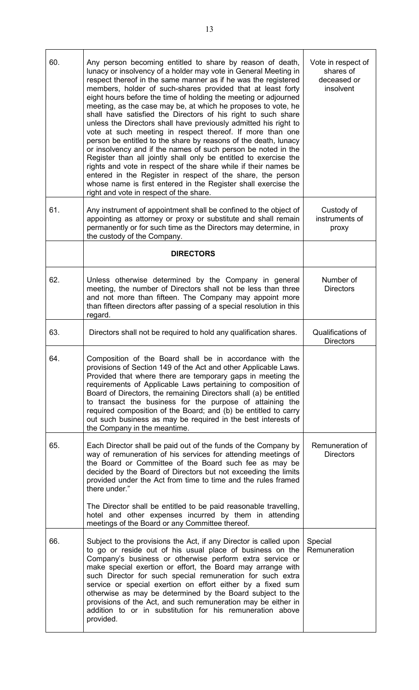| 60. | Any person becoming entitled to share by reason of death,<br>lunacy or insolvency of a holder may vote in General Meeting in<br>respect thereof in the same manner as if he was the registered<br>members, holder of such-shares provided that at least forty<br>eight hours before the time of holding the meeting or adjourned<br>meeting, as the case may be, at which he proposes to vote, he<br>shall have satisfied the Directors of his right to such share<br>unless the Directors shall have previously admitted his right to<br>vote at such meeting in respect thereof. If more than one<br>person be entitled to the share by reasons of the death, lunacy<br>or insolvency and if the names of such person be noted in the<br>Register than all jointly shall only be entitled to exercise the<br>rights and vote in respect of the share while if their names be<br>entered in the Register in respect of the share, the person<br>whose name is first entered in the Register shall exercise the<br>right and vote in respect of the share. | Vote in respect of<br>shares of<br>deceased or<br>insolvent |
|-----|------------------------------------------------------------------------------------------------------------------------------------------------------------------------------------------------------------------------------------------------------------------------------------------------------------------------------------------------------------------------------------------------------------------------------------------------------------------------------------------------------------------------------------------------------------------------------------------------------------------------------------------------------------------------------------------------------------------------------------------------------------------------------------------------------------------------------------------------------------------------------------------------------------------------------------------------------------------------------------------------------------------------------------------------------------|-------------------------------------------------------------|
| 61. | Any instrument of appointment shall be confined to the object of<br>appointing as attorney or proxy or substitute and shall remain<br>permanently or for such time as the Directors may determine, in<br>the custody of the Company.                                                                                                                                                                                                                                                                                                                                                                                                                                                                                                                                                                                                                                                                                                                                                                                                                       | Custody of<br>instruments of<br>proxy                       |
|     | <b>DIRECTORS</b>                                                                                                                                                                                                                                                                                                                                                                                                                                                                                                                                                                                                                                                                                                                                                                                                                                                                                                                                                                                                                                           |                                                             |
| 62. | Unless otherwise determined by the Company in general<br>meeting, the number of Directors shall not be less than three<br>and not more than fifteen. The Company may appoint more<br>than fifteen directors after passing of a special resolution in this<br>regard.                                                                                                                                                                                                                                                                                                                                                                                                                                                                                                                                                                                                                                                                                                                                                                                       | Number of<br><b>Directors</b>                               |
| 63. | Directors shall not be required to hold any qualification shares.                                                                                                                                                                                                                                                                                                                                                                                                                                                                                                                                                                                                                                                                                                                                                                                                                                                                                                                                                                                          | Qualifications of<br><b>Directors</b>                       |
| 64. | Composition of the Board shall be in accordance with the<br>provisions of Section 149 of the Act and other Applicable Laws.<br>Provided that where there are temporary gaps in meeting the<br>requirements of Applicable Laws pertaining to composition of<br>Board of Directors, the remaining Directors shall (a) be entitled<br>to transact the business for the purpose of attaining the<br>required composition of the Board; and (b) be entitled to carry<br>out such business as may be required in the best interests of<br>the Company in the meantime.                                                                                                                                                                                                                                                                                                                                                                                                                                                                                           |                                                             |
| 65. | Each Director shall be paid out of the funds of the Company by<br>way of remuneration of his services for attending meetings of<br>the Board or Committee of the Board such fee as may be<br>decided by the Board of Directors but not exceeding the limits<br>provided under the Act from time to time and the rules framed<br>there under."<br>The Director shall be entitled to be paid reasonable travelling,                                                                                                                                                                                                                                                                                                                                                                                                                                                                                                                                                                                                                                          | Remuneration of<br><b>Directors</b>                         |
|     | hotel and other expenses incurred by them in attending<br>meetings of the Board or any Committee thereof.                                                                                                                                                                                                                                                                                                                                                                                                                                                                                                                                                                                                                                                                                                                                                                                                                                                                                                                                                  |                                                             |
| 66. | Subject to the provisions the Act, if any Director is called upon<br>to go or reside out of his usual place of business on the<br>Company's business or otherwise perform extra service or<br>make special exertion or effort, the Board may arrange with<br>such Director for such special remuneration for such extra<br>service or special exertion on effort either by a fixed sum<br>otherwise as may be determined by the Board subject to the<br>provisions of the Act, and such remuneration may be either in<br>addition to or in substitution for his remuneration above<br>provided.                                                                                                                                                                                                                                                                                                                                                                                                                                                            | Special<br>Remuneration                                     |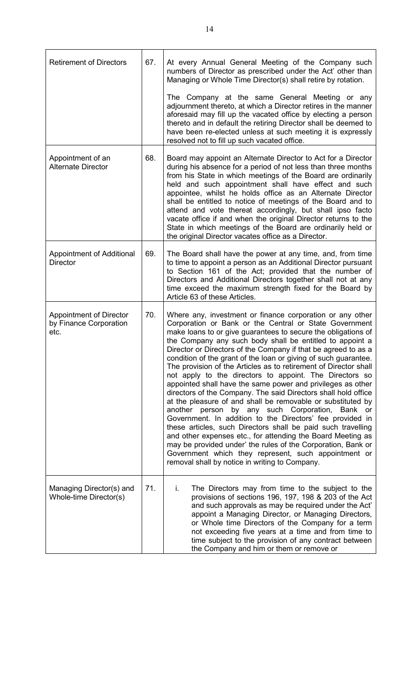| <b>Retirement of Directors</b>                                   | 67. | At every Annual General Meeting of the Company such<br>numbers of Director as prescribed under the Act' other than<br>Managing or Whole Time Director(s) shall retire by rotation.                                                                                                                                                                                                                                                                                                                                                                                                                                                                                                                                                                                                                                                                                                                                                                                                                                                                                                                                                                  |
|------------------------------------------------------------------|-----|-----------------------------------------------------------------------------------------------------------------------------------------------------------------------------------------------------------------------------------------------------------------------------------------------------------------------------------------------------------------------------------------------------------------------------------------------------------------------------------------------------------------------------------------------------------------------------------------------------------------------------------------------------------------------------------------------------------------------------------------------------------------------------------------------------------------------------------------------------------------------------------------------------------------------------------------------------------------------------------------------------------------------------------------------------------------------------------------------------------------------------------------------------|
|                                                                  |     | The Company at the same General Meeting or any<br>adjournment thereto, at which a Director retires in the manner<br>aforesaid may fill up the vacated office by electing a person<br>thereto and in default the retiring Director shall be deemed to<br>have been re-elected unless at such meeting it is expressly<br>resolved not to fill up such vacated office.                                                                                                                                                                                                                                                                                                                                                                                                                                                                                                                                                                                                                                                                                                                                                                                 |
| Appointment of an<br><b>Alternate Director</b>                   | 68. | Board may appoint an Alternate Director to Act for a Director<br>during his absence for a period of not less than three months<br>from his State in which meetings of the Board are ordinarily<br>held and such appointment shall have effect and such<br>appointee, whilst he holds office as an Alternate Director<br>shall be entitled to notice of meetings of the Board and to<br>attend and vote thereat accordingly, but shall ipso facto<br>vacate office if and when the original Director returns to the<br>State in which meetings of the Board are ordinarily held or<br>the original Director vacates office as a Director.                                                                                                                                                                                                                                                                                                                                                                                                                                                                                                            |
| Appointment of Additional<br><b>Director</b>                     | 69. | The Board shall have the power at any time, and, from time<br>to time to appoint a person as an Additional Director pursuant<br>to Section 161 of the Act; provided that the number of<br>Directors and Additional Directors together shall not at any<br>time exceed the maximum strength fixed for the Board by<br>Article 63 of these Articles.                                                                                                                                                                                                                                                                                                                                                                                                                                                                                                                                                                                                                                                                                                                                                                                                  |
| <b>Appointment of Director</b><br>by Finance Corporation<br>etc. | 70. | Where any, investment or finance corporation or any other<br>Corporation or Bank or the Central or State Government<br>make loans to or give guarantees to secure the obligations of<br>the Company any such body shall be entitled to appoint a<br>Director or Directors of the Company if that be agreed to as a<br>condition of the grant of the loan or giving of such guarantee.<br>The provision of the Articles as to retirement of Director shall<br>not apply to the directors to appoint. The Directors so<br>appointed shall have the same power and privileges as other<br>directors of the Company. The said Directors shall hold office<br>at the pleasure of and shall be removable or substituted by<br>another person<br>by any such Corporation,<br>Bank or<br>Government. In addition to the Directors' fee provided in<br>these articles, such Directors shall be paid such travelling<br>and other expenses etc., for attending the Board Meeting as<br>may be provided under' the rules of the Corporation, Bank or<br>Government which they represent, such appointment or<br>removal shall by notice in writing to Company. |
| Managing Director(s) and<br>Whole-time Director(s)               | 71. | The Directors may from time to the subject to the<br>i.<br>provisions of sections 196, 197, 198 & 203 of the Act<br>and such approvals as may be required under the Act'<br>appoint a Managing Director, or Managing Directors,<br>or Whole time Directors of the Company for a term<br>not exceeding five years at a time and from time to<br>time subject to the provision of any contract between<br>the Company and him or them or remove or                                                                                                                                                                                                                                                                                                                                                                                                                                                                                                                                                                                                                                                                                                    |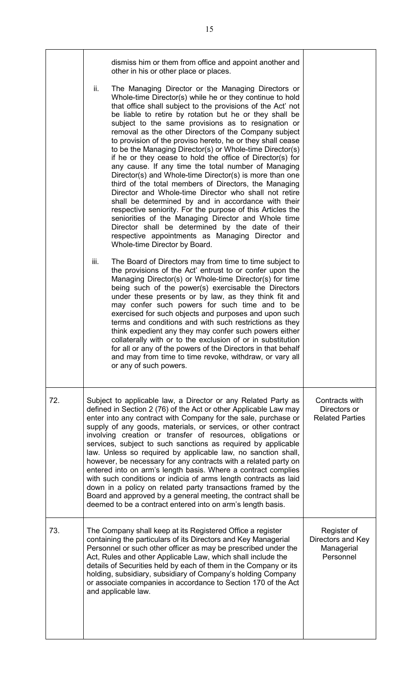|     | dismiss him or them from office and appoint another and<br>other in his or other place or places.                                                                                                                                                                                                                                                                                                                                                                                                                                                                                                                                                                                                                                                                                                                                                                                                                                                                                                                                                                                                                |                                                             |
|-----|------------------------------------------------------------------------------------------------------------------------------------------------------------------------------------------------------------------------------------------------------------------------------------------------------------------------------------------------------------------------------------------------------------------------------------------------------------------------------------------------------------------------------------------------------------------------------------------------------------------------------------------------------------------------------------------------------------------------------------------------------------------------------------------------------------------------------------------------------------------------------------------------------------------------------------------------------------------------------------------------------------------------------------------------------------------------------------------------------------------|-------------------------------------------------------------|
|     | ii.<br>The Managing Director or the Managing Directors or<br>Whole-time Director(s) while he or they continue to hold<br>that office shall subject to the provisions of the Act' not<br>be liable to retire by rotation but he or they shall be<br>subject to the same provisions as to resignation or<br>removal as the other Directors of the Company subject<br>to provision of the proviso hereto, he or they shall cease<br>to be the Managing Director(s) or Whole-time Director(s)<br>if he or they cease to hold the office of Director(s) for<br>any cause. If any time the total number of Managing<br>Director(s) and Whole-time Director(s) is more than one<br>third of the total members of Directors, the Managing<br>Director and Whole-time Director who shall not retire<br>shall be determined by and in accordance with their<br>respective seniority. For the purpose of this Articles the<br>seniorities of the Managing Director and Whole time<br>Director shall be determined by the date of their<br>respective appointments as Managing Director and<br>Whole-time Director by Board. |                                                             |
|     | iii.<br>The Board of Directors may from time to time subject to<br>the provisions of the Act' entrust to or confer upon the<br>Managing Director(s) or Whole-time Director(s) for time<br>being such of the power(s) exercisable the Directors<br>under these presents or by law, as they think fit and<br>may confer such powers for such time and to be<br>exercised for such objects and purposes and upon such<br>terms and conditions and with such restrictions as they<br>think expedient any they may confer such powers either<br>collaterally with or to the exclusion of or in substitution<br>for all or any of the powers of the Directors in that behalf<br>and may from time to time revoke, withdraw, or vary all<br>or any of such powers.                                                                                                                                                                                                                                                                                                                                                      |                                                             |
| 72. | Subject to applicable law, a Director or any Related Party as<br>defined in Section 2 (76) of the Act or other Applicable Law may<br>enter into any contract with Company for the sale, purchase or<br>supply of any goods, materials, or services, or other contract<br>involving creation or transfer of resources, obligations or<br>services, subject to such sanctions as required by applicable<br>law. Unless so required by applicable law, no sanction shall,<br>however, be necessary for any contracts with a related party on<br>entered into on arm's length basis. Where a contract complies<br>with such conditions or indicia of arms length contracts as laid<br>down in a policy on related party transactions framed by the<br>Board and approved by a general meeting, the contract shall be<br>deemed to be a contract entered into on arm's length basis.                                                                                                                                                                                                                                  | Contracts with<br>Directors or<br><b>Related Parties</b>    |
| 73. | The Company shall keep at its Registered Office a register<br>containing the particulars of its Directors and Key Managerial<br>Personnel or such other officer as may be prescribed under the<br>Act, Rules and other Applicable Law, which shall include the<br>details of Securities held by each of them in the Company or its<br>holding, subsidiary, subsidiary of Company's holding Company<br>or associate companies in accordance to Section 170 of the Act<br>and applicable law.                                                                                                                                                                                                                                                                                                                                                                                                                                                                                                                                                                                                                      | Register of<br>Directors and Key<br>Managerial<br>Personnel |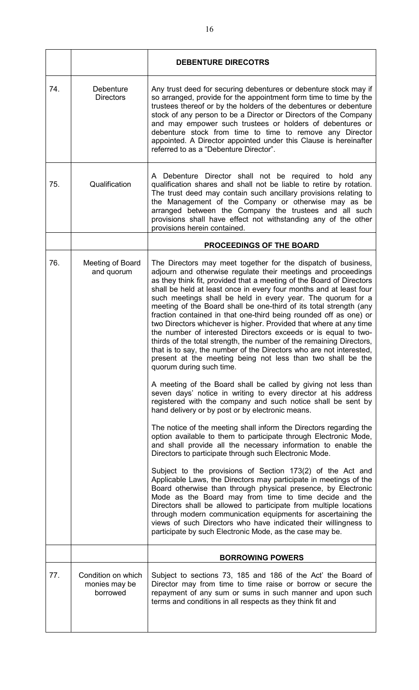|     |                                                 | <b>DEBENTURE DIRECOTRS</b>                                                                                                                                                                                                                                                                                                                                                                                                                                                                                                                                                                                                                                                                                                                                                                                                                                                                                                                                                                                                                                                                                                                                                                                                                                                                                                                                                                                                                                                                                                                                                                                                                                                                                                                                                                                                                                                                                                              |
|-----|-------------------------------------------------|-----------------------------------------------------------------------------------------------------------------------------------------------------------------------------------------------------------------------------------------------------------------------------------------------------------------------------------------------------------------------------------------------------------------------------------------------------------------------------------------------------------------------------------------------------------------------------------------------------------------------------------------------------------------------------------------------------------------------------------------------------------------------------------------------------------------------------------------------------------------------------------------------------------------------------------------------------------------------------------------------------------------------------------------------------------------------------------------------------------------------------------------------------------------------------------------------------------------------------------------------------------------------------------------------------------------------------------------------------------------------------------------------------------------------------------------------------------------------------------------------------------------------------------------------------------------------------------------------------------------------------------------------------------------------------------------------------------------------------------------------------------------------------------------------------------------------------------------------------------------------------------------------------------------------------------------|
| 74. | Debenture<br><b>Directors</b>                   | Any trust deed for securing debentures or debenture stock may if<br>so arranged, provide for the appointment form time to time by the<br>trustees thereof or by the holders of the debentures or debenture<br>stock of any person to be a Director or Directors of the Company<br>and may empower such trustees or holders of debentures or<br>debenture stock from time to time to remove any Director<br>appointed. A Director appointed under this Clause is hereinafter<br>referred to as a "Debenture Director".                                                                                                                                                                                                                                                                                                                                                                                                                                                                                                                                                                                                                                                                                                                                                                                                                                                                                                                                                                                                                                                                                                                                                                                                                                                                                                                                                                                                                   |
| 75. | Qualification                                   | A Debenture Director shall not be required to hold any<br>qualification shares and shall not be liable to retire by rotation.<br>The trust deed may contain such ancillary provisions relating to<br>the Management of the Company or otherwise may as be<br>arranged between the Company the trustees and all such<br>provisions shall have effect not withstanding any of the other<br>provisions herein contained.                                                                                                                                                                                                                                                                                                                                                                                                                                                                                                                                                                                                                                                                                                                                                                                                                                                                                                                                                                                                                                                                                                                                                                                                                                                                                                                                                                                                                                                                                                                   |
|     |                                                 | <b>PROCEEDINGS OF THE BOARD</b>                                                                                                                                                                                                                                                                                                                                                                                                                                                                                                                                                                                                                                                                                                                                                                                                                                                                                                                                                                                                                                                                                                                                                                                                                                                                                                                                                                                                                                                                                                                                                                                                                                                                                                                                                                                                                                                                                                         |
| 76. | Meeting of Board<br>and quorum                  | The Directors may meet together for the dispatch of business,<br>adjourn and otherwise regulate their meetings and proceedings<br>as they think fit, provided that a meeting of the Board of Directors<br>shall be held at least once in every four months and at least four<br>such meetings shall be held in every year. The quorum for a<br>meeting of the Board shall be one-third of its total strength (any<br>fraction contained in that one-third being rounded off as one) or<br>two Directors whichever is higher. Provided that where at any time<br>the number of interested Directors exceeds or is equal to two-<br>thirds of the total strength, the number of the remaining Directors,<br>that is to say, the number of the Directors who are not interested,<br>present at the meeting being not less than two shall be the<br>quorum during such time.<br>A meeting of the Board shall be called by giving not less than<br>seven days' notice in writing to every director at his address<br>registered with the company and such notice shall be sent by<br>hand delivery or by post or by electronic means.<br>The notice of the meeting shall inform the Directors regarding the<br>option available to them to participate through Electronic Mode,<br>and shall provide all the necessary information to enable the<br>Directors to participate through such Electronic Mode.<br>Subject to the provisions of Section 173(2) of the Act and<br>Applicable Laws, the Directors may participate in meetings of the<br>Board otherwise than through physical presence, by Electronic<br>Mode as the Board may from time to time decide and the<br>Directors shall be allowed to participate from multiple locations<br>through modern communication equipments for ascertaining the<br>views of such Directors who have indicated their willingness to<br>participate by such Electronic Mode, as the case may be. |
|     |                                                 | <b>BORROWING POWERS</b>                                                                                                                                                                                                                                                                                                                                                                                                                                                                                                                                                                                                                                                                                                                                                                                                                                                                                                                                                                                                                                                                                                                                                                                                                                                                                                                                                                                                                                                                                                                                                                                                                                                                                                                                                                                                                                                                                                                 |
| 77. | Condition on which<br>monies may be<br>borrowed | Subject to sections 73, 185 and 186 of the Act' the Board of<br>Director may from time to time raise or borrow or secure the<br>repayment of any sum or sums in such manner and upon such<br>terms and conditions in all respects as they think fit and                                                                                                                                                                                                                                                                                                                                                                                                                                                                                                                                                                                                                                                                                                                                                                                                                                                                                                                                                                                                                                                                                                                                                                                                                                                                                                                                                                                                                                                                                                                                                                                                                                                                                 |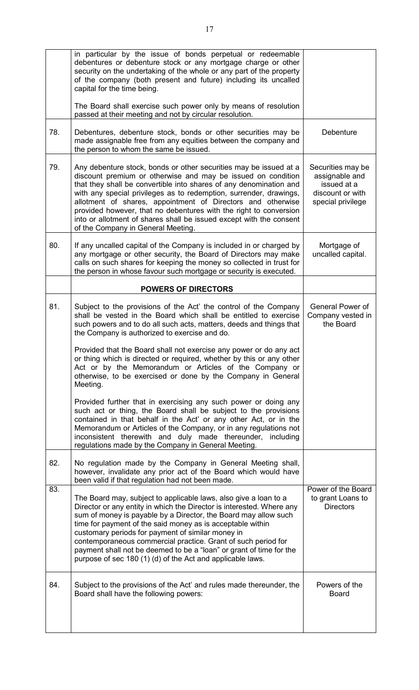|     | in particular by the issue of bonds perpetual or redeemable<br>debentures or debenture stock or any mortgage charge or other<br>security on the undertaking of the whole or any part of the property<br>of the company (both present and future) including its uncalled<br>capital for the time being.<br>The Board shall exercise such power only by means of resolution<br>passed at their meeting and not by circular resolution.                                                                                                  |                                                                                             |
|-----|---------------------------------------------------------------------------------------------------------------------------------------------------------------------------------------------------------------------------------------------------------------------------------------------------------------------------------------------------------------------------------------------------------------------------------------------------------------------------------------------------------------------------------------|---------------------------------------------------------------------------------------------|
| 78. | Debentures, debenture stock, bonds or other securities may be<br>made assignable free from any equities between the company and<br>the person to whom the same be issued.                                                                                                                                                                                                                                                                                                                                                             | Debenture                                                                                   |
| 79. | Any debenture stock, bonds or other securities may be issued at a<br>discount premium or otherwise and may be issued on condition<br>that they shall be convertible into shares of any denomination and<br>with any special privileges as to redemption, surrender, drawings,<br>allotment of shares, appointment of Directors and otherwise<br>provided however, that no debentures with the right to conversion<br>into or allotment of shares shall be issued except with the consent<br>of the Company in General Meeting.        | Securities may be<br>assignable and<br>issued at a<br>discount or with<br>special privilege |
| 80. | If any uncalled capital of the Company is included in or charged by<br>any mortgage or other security, the Board of Directors may make<br>calls on such shares for keeping the money so collected in trust for<br>the person in whose favour such mortgage or security is executed.                                                                                                                                                                                                                                                   | Mortgage of<br>uncalled capital.                                                            |
|     | <b>POWERS OF DIRECTORS</b>                                                                                                                                                                                                                                                                                                                                                                                                                                                                                                            |                                                                                             |
| 81. | Subject to the provisions of the Act' the control of the Company<br>shall be vested in the Board which shall be entitled to exercise<br>such powers and to do all such acts, matters, deeds and things that<br>the Company is authorized to exercise and do.                                                                                                                                                                                                                                                                          | General Power of<br>Company vested in<br>the Board                                          |
|     | Provided that the Board shall not exercise any power or do any act<br>or thing which is directed or required, whether by this or any other<br>Act or by the Memorandum or Articles of the Company or<br>otherwise, to be exercised or done by the Company in General<br>Meeting.                                                                                                                                                                                                                                                      |                                                                                             |
|     | Provided further that in exercising any such power or doing any<br>such act or thing, the Board shall be subject to the provisions<br>contained in that behalf in the Act' or any other Act, or in the<br>Memorandum or Articles of the Company, or in any regulations not<br>inconsistent therewith and duly made thereunder, including<br>regulations made by the Company in General Meeting.                                                                                                                                       |                                                                                             |
| 82. | No regulation made by the Company in General Meeting shall,<br>however, invalidate any prior act of the Board which would have<br>been valid if that regulation had not been made.                                                                                                                                                                                                                                                                                                                                                    |                                                                                             |
| 83. | The Board may, subject to applicable laws, also give a loan to a<br>Director or any entity in which the Director is interested. Where any<br>sum of money is payable by a Director, the Board may allow such<br>time for payment of the said money as is acceptable within<br>customary periods for payment of similar money in<br>contemporaneous commercial practice. Grant of such period for<br>payment shall not be deemed to be a "loan" or grant of time for the<br>purpose of sec 180 (1) (d) of the Act and applicable laws. | Power of the Board<br>to grant Loans to<br><b>Directors</b>                                 |
| 84. | Subject to the provisions of the Act' and rules made thereunder, the<br>Board shall have the following powers:                                                                                                                                                                                                                                                                                                                                                                                                                        | Powers of the<br><b>Board</b>                                                               |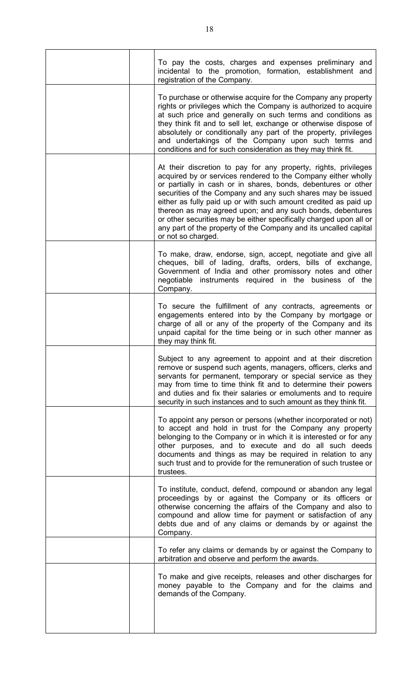|  | To pay the costs, charges and expenses preliminary and<br>incidental to the promotion, formation, establishment and<br>registration of the Company.                                                                                                                                                                                                                                                                                                                                                                                                               |
|--|-------------------------------------------------------------------------------------------------------------------------------------------------------------------------------------------------------------------------------------------------------------------------------------------------------------------------------------------------------------------------------------------------------------------------------------------------------------------------------------------------------------------------------------------------------------------|
|  | To purchase or otherwise acquire for the Company any property<br>rights or privileges which the Company is authorized to acquire<br>at such price and generally on such terms and conditions as<br>they think fit and to sell let, exchange or otherwise dispose of<br>absolutely or conditionally any part of the property, privileges<br>and undertakings of the Company upon such terms and<br>conditions and for such consideration as they may think fit.                                                                                                    |
|  | At their discretion to pay for any property, rights, privileges<br>acquired by or services rendered to the Company either wholly<br>or partially in cash or in shares, bonds, debentures or other<br>securities of the Company and any such shares may be issued<br>either as fully paid up or with such amount credited as paid up<br>thereon as may agreed upon; and any such bonds, debentures<br>or other securities may be either specifically charged upon all or<br>any part of the property of the Company and its uncalled capital<br>or not so charged. |
|  | To make, draw, endorse, sign, accept, negotiate and give all<br>cheques, bill of lading, drafts, orders, bills of exchange,<br>Government of India and other promissory notes and other<br>negotiable instruments required in the business of the<br>Company.                                                                                                                                                                                                                                                                                                     |
|  | To secure the fulfillment of any contracts, agreements or<br>engagements entered into by the Company by mortgage or<br>charge of all or any of the property of the Company and its<br>unpaid capital for the time being or in such other manner as<br>they may think fit.                                                                                                                                                                                                                                                                                         |
|  | Subject to any agreement to appoint and at their discretion<br>remove or suspend such agents, managers, officers, clerks and<br>servants for permanent, temporary or special service as they<br>may from time to time think fit and to determine their powers<br>and duties and fix their salaries or emoluments and to require<br>security in such instances and to such amount as they think fit.                                                                                                                                                               |
|  | To appoint any person or persons (whether incorporated or not)<br>to accept and hold in trust for the Company any property<br>belonging to the Company or in which it is interested or for any<br>other purposes, and to execute and do all such deeds<br>documents and things as may be required in relation to any<br>such trust and to provide for the remuneration of such trustee or<br>trustees.                                                                                                                                                            |
|  | To institute, conduct, defend, compound or abandon any legal<br>proceedings by or against the Company or its officers or<br>otherwise concerning the affairs of the Company and also to<br>compound and allow time for payment or satisfaction of any<br>debts due and of any claims or demands by or against the<br>Company.                                                                                                                                                                                                                                     |
|  | To refer any claims or demands by or against the Company to<br>arbitration and observe and perform the awards.                                                                                                                                                                                                                                                                                                                                                                                                                                                    |
|  | To make and give receipts, releases and other discharges for<br>money payable to the Company and for the claims and<br>demands of the Company.                                                                                                                                                                                                                                                                                                                                                                                                                    |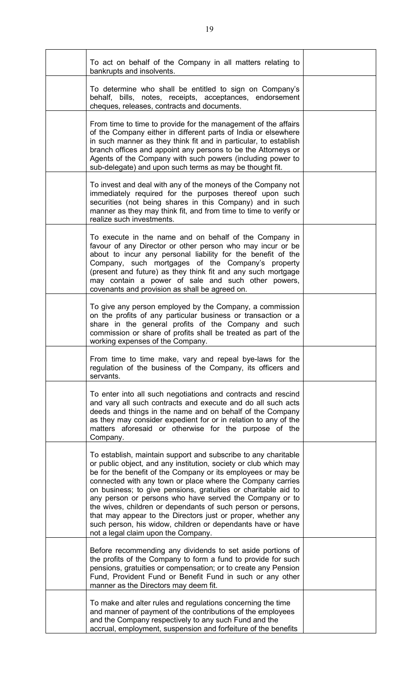| To act on behalf of the Company in all matters relating to<br>bankrupts and insolvents.                                                                                                                                                                                                                                                                                                                                                                                                                                                                                                                                             |  |
|-------------------------------------------------------------------------------------------------------------------------------------------------------------------------------------------------------------------------------------------------------------------------------------------------------------------------------------------------------------------------------------------------------------------------------------------------------------------------------------------------------------------------------------------------------------------------------------------------------------------------------------|--|
| To determine who shall be entitled to sign on Company's<br>behalf, bills, notes, receipts, acceptances, endorsement<br>cheques, releases, contracts and documents.                                                                                                                                                                                                                                                                                                                                                                                                                                                                  |  |
| From time to time to provide for the management of the affairs<br>of the Company either in different parts of India or elsewhere<br>in such manner as they think fit and in particular, to establish<br>branch offices and appoint any persons to be the Attorneys or<br>Agents of the Company with such powers (including power to<br>sub-delegate) and upon such terms as may be thought fit.                                                                                                                                                                                                                                     |  |
| To invest and deal with any of the moneys of the Company not<br>immediately required for the purposes thereof upon such<br>securities (not being shares in this Company) and in such<br>manner as they may think fit, and from time to time to verify or<br>realize such investments.                                                                                                                                                                                                                                                                                                                                               |  |
| To execute in the name and on behalf of the Company in<br>favour of any Director or other person who may incur or be<br>about to incur any personal liability for the benefit of the<br>Company, such mortgages of the Company's property<br>(present and future) as they think fit and any such mortgage<br>may contain a power of sale and such other powers,<br>covenants and provision as shall be agreed on.                                                                                                                                                                                                                   |  |
| To give any person employed by the Company, a commission<br>on the profits of any particular business or transaction or a<br>share in the general profits of the Company and such<br>commission or share of profits shall be treated as part of the<br>working expenses of the Company.                                                                                                                                                                                                                                                                                                                                             |  |
| From time to time make, vary and repeal bye-laws for the<br>regulation of the business of the Company, its officers and<br>servants.                                                                                                                                                                                                                                                                                                                                                                                                                                                                                                |  |
| To enter into all such negotiations and contracts and rescind<br>and vary all such contracts and execute and do all such acts<br>deeds and things in the name and on behalf of the Company<br>as they may consider expedient for or in relation to any of the<br>matters aforesaid or otherwise for the purpose of the<br>Company.                                                                                                                                                                                                                                                                                                  |  |
| To establish, maintain support and subscribe to any charitable<br>or public object, and any institution, society or club which may<br>be for the benefit of the Company or its employees or may be<br>connected with any town or place where the Company carries<br>on business; to give pensions, gratuities or charitable aid to<br>any person or persons who have served the Company or to<br>the wives, children or dependants of such person or persons,<br>that may appear to the Directors just or proper, whether any<br>such person, his widow, children or dependants have or have<br>not a legal claim upon the Company. |  |
| Before recommending any dividends to set aside portions of<br>the profits of the Company to form a fund to provide for such<br>pensions, gratuities or compensation; or to create any Pension<br>Fund, Provident Fund or Benefit Fund in such or any other<br>manner as the Directors may deem fit.                                                                                                                                                                                                                                                                                                                                 |  |
| To make and alter rules and regulations concerning the time<br>and manner of payment of the contributions of the employees<br>and the Company respectively to any such Fund and the<br>accrual, employment, suspension and forfeiture of the benefits                                                                                                                                                                                                                                                                                                                                                                               |  |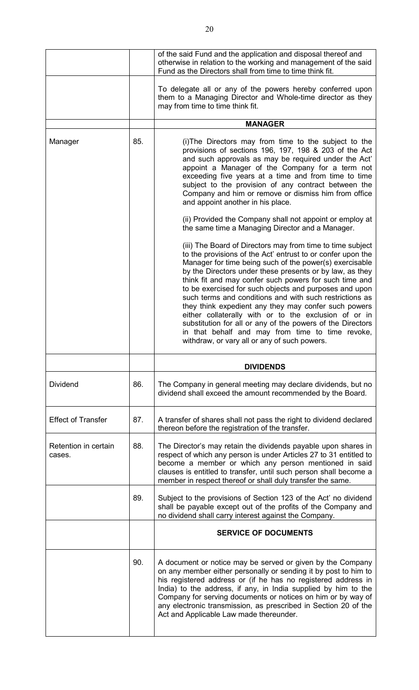|                                |     | of the said Fund and the application and disposal thereof and<br>otherwise in relation to the working and management of the said<br>Fund as the Directors shall from time to time think fit.                                                                                                                                                                                                                                                                                                                                                                                                                                                                                                                       |
|--------------------------------|-----|--------------------------------------------------------------------------------------------------------------------------------------------------------------------------------------------------------------------------------------------------------------------------------------------------------------------------------------------------------------------------------------------------------------------------------------------------------------------------------------------------------------------------------------------------------------------------------------------------------------------------------------------------------------------------------------------------------------------|
|                                |     | To delegate all or any of the powers hereby conferred upon<br>them to a Managing Director and Whole-time director as they<br>may from time to time think fit.                                                                                                                                                                                                                                                                                                                                                                                                                                                                                                                                                      |
|                                |     | <b>MANAGER</b>                                                                                                                                                                                                                                                                                                                                                                                                                                                                                                                                                                                                                                                                                                     |
| Manager                        | 85. | (i) The Directors may from time to the subject to the<br>provisions of sections 196, 197, 198 & 203 of the Act<br>and such approvals as may be required under the Act'<br>appoint a Manager of the Company for a term not<br>exceeding five years at a time and from time to time<br>subject to the provision of any contract between the<br>Company and him or remove or dismiss him from office<br>and appoint another in his place.<br>(ii) Provided the Company shall not appoint or employ at                                                                                                                                                                                                                 |
|                                |     | the same time a Managing Director and a Manager.                                                                                                                                                                                                                                                                                                                                                                                                                                                                                                                                                                                                                                                                   |
|                                |     | (iii) The Board of Directors may from time to time subject<br>to the provisions of the Act' entrust to or confer upon the<br>Manager for time being such of the power(s) exercisable<br>by the Directors under these presents or by law, as they<br>think fit and may confer such powers for such time and<br>to be exercised for such objects and purposes and upon<br>such terms and conditions and with such restrictions as<br>they think expedient any they may confer such powers<br>either collaterally with or to the exclusion of or in<br>substitution for all or any of the powers of the Directors<br>in that behalf and may from time to time revoke,<br>withdraw, or vary all or any of such powers. |
|                                |     |                                                                                                                                                                                                                                                                                                                                                                                                                                                                                                                                                                                                                                                                                                                    |
|                                |     | <b>DIVIDENDS</b>                                                                                                                                                                                                                                                                                                                                                                                                                                                                                                                                                                                                                                                                                                   |
| <b>Dividend</b>                | 86. | The Company in general meeting may declare dividends, but no<br>dividend shall exceed the amount recommended by the Board.                                                                                                                                                                                                                                                                                                                                                                                                                                                                                                                                                                                         |
| <b>Effect of Transfer</b>      | 87. | A transfer of shares shall not pass the right to dividend declared<br>thereon before the registration of the transfer.                                                                                                                                                                                                                                                                                                                                                                                                                                                                                                                                                                                             |
| Retention in certain<br>cases. | 88. | The Director's may retain the dividends payable upon shares in<br>respect of which any person is under Articles 27 to 31 entitled to<br>become a member or which any person mentioned in said<br>clauses is entitled to transfer, until such person shall become a<br>member in respect thereof or shall duly transfer the same.                                                                                                                                                                                                                                                                                                                                                                                   |
|                                | 89. | Subject to the provisions of Section 123 of the Act' no dividend<br>shall be payable except out of the profits of the Company and<br>no dividend shall carry interest against the Company.                                                                                                                                                                                                                                                                                                                                                                                                                                                                                                                         |
|                                |     | <b>SERVICE OF DOCUMENTS</b>                                                                                                                                                                                                                                                                                                                                                                                                                                                                                                                                                                                                                                                                                        |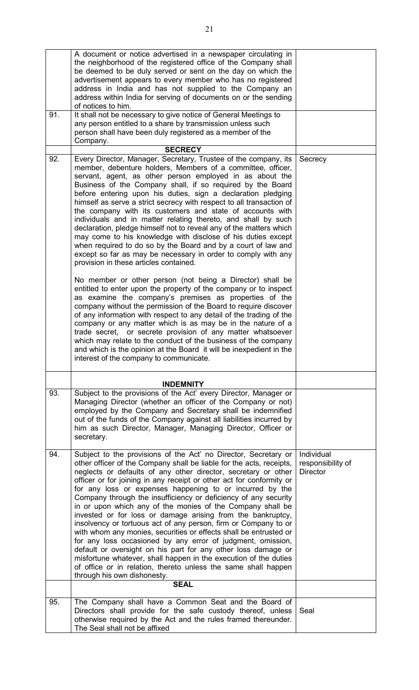|     | A document or notice advertised in a newspaper circulating in                                                                           |                                 |
|-----|-----------------------------------------------------------------------------------------------------------------------------------------|---------------------------------|
|     | the neighborhood of the registered office of the Company shall                                                                          |                                 |
|     | be deemed to be duly served or sent on the day on which the<br>advertisement appears to every member who has no registered              |                                 |
|     | address in India and has not supplied to the Company an                                                                                 |                                 |
|     | address within India for serving of documents on or the sending                                                                         |                                 |
|     | of notices to him.                                                                                                                      |                                 |
| 91. | It shall not be necessary to give notice of General Meetings to                                                                         |                                 |
|     | any person entitled to a share by transmission unless such                                                                              |                                 |
|     | person shall have been duly registered as a member of the                                                                               |                                 |
|     | Company.                                                                                                                                |                                 |
|     | <b>SECRECY</b>                                                                                                                          |                                 |
| 92. | Every Director, Manager, Secretary, Trustee of the company, its<br>member, debenture holders, Members of a committee, officer,          | Secrecy                         |
|     | servant, agent, as other person employed in as about the                                                                                |                                 |
|     | Business of the Company shall, if so required by the Board                                                                              |                                 |
|     | before entering upon his duties, sign a declaration pledging                                                                            |                                 |
|     | himself as serve a strict secrecy with respect to all transaction of                                                                    |                                 |
|     | the company with its customers and state of accounts with                                                                               |                                 |
|     | individuals and in matter relating thereto, and shall by such                                                                           |                                 |
|     | declaration, pledge himself not to reveal any of the matters which                                                                      |                                 |
|     | may come to his knowledge with disclose of his duties except                                                                            |                                 |
|     | when required to do so by the Board and by a court of law and                                                                           |                                 |
|     | except so far as may be necessary in order to comply with any                                                                           |                                 |
|     | provision in these articles contained.                                                                                                  |                                 |
|     | No member or other person (not being a Director) shall be                                                                               |                                 |
|     | entitled to enter upon the property of the company or to inspect                                                                        |                                 |
|     | as examine the company's premises as properties of the                                                                                  |                                 |
|     | company without the permission of the Board to require discover                                                                         |                                 |
|     | of any information with respect to any detail of the trading of the                                                                     |                                 |
|     | company or any matter which is as may be in the nature of a                                                                             |                                 |
|     | trade secret, or secrete provision of any matter whatsoever                                                                             |                                 |
|     | which may relate to the conduct of the business of the company<br>and which is the opinion at the Board it will be inexpedient in the   |                                 |
|     | interest of the company to communicate.                                                                                                 |                                 |
|     |                                                                                                                                         |                                 |
|     | <b>INDEMNITY</b>                                                                                                                        |                                 |
| 93. | Subject to the provisions of the Act' every Director, Manager or<br>Managing Director (whether an officer of the Company or not)        |                                 |
|     | employed by the Company and Secretary shall be indemnified                                                                              |                                 |
|     | out of the funds of the Company against all liabilities incurred by                                                                     |                                 |
|     | him as such Director, Manager, Managing Director, Officer or                                                                            |                                 |
|     | secretary.                                                                                                                              |                                 |
|     |                                                                                                                                         |                                 |
| 94. | Subject to the provisions of the Act' no Director, Secretary or<br>other officer of the Company shall be liable for the acts, receipts, | Individual<br>responsibility of |
|     | neglects or defaults of any other director, secretary or other                                                                          | <b>Director</b>                 |
|     | officer or for joining in any receipt or other act for conformity or                                                                    |                                 |
|     | for any loss or expenses happening to or incurred by the                                                                                |                                 |
|     | Company through the insufficiency or deficiency of any security                                                                         |                                 |
|     | in or upon which any of the monies of the Company shall be                                                                              |                                 |
|     | invested or for loss or damage arising from the bankruptcy,                                                                             |                                 |
|     | insolvency or tortuous act of any person, firm or Company to or<br>with whom any monies, securities or effects shall be entrusted or    |                                 |
|     | for any loss occasioned by any error of judgment, omission,                                                                             |                                 |
|     | default or oversight on his part for any other loss damage or                                                                           |                                 |
|     | misfortune whatever, shall happen in the execution of the duties                                                                        |                                 |
|     | of office or in relation, thereto unless the same shall happen                                                                          |                                 |
|     | through his own dishonesty.<br><b>SEAL</b>                                                                                              |                                 |
|     |                                                                                                                                         |                                 |
| 95. | The Company shall have a Common Seat and the Board of                                                                                   | Seal                            |
|     | Directors shall provide for the safe custody thereof, unless                                                                            |                                 |
|     | otherwise required by the Act and the rules framed thereunder.                                                                          |                                 |